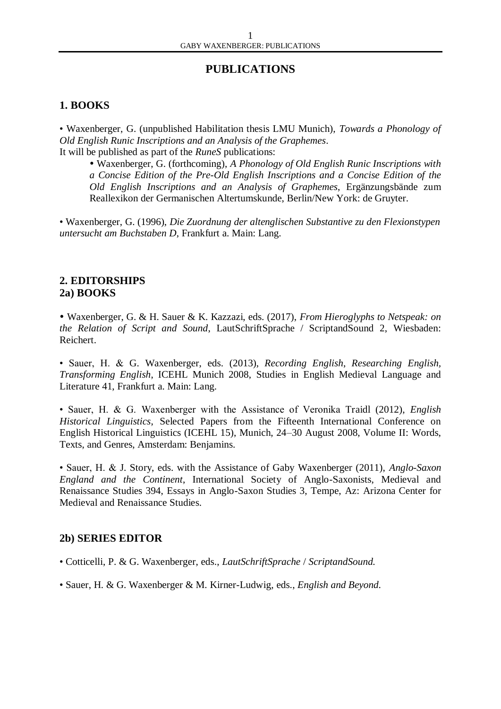# **PUBLICATIONS**

### **1. BOOKS**

• Waxenberger, G. (unpublished Habilitation thesis LMU Munich), *Towards a Phonology of Old English Runic Inscriptions and an Analysis of the Graphemes*. It will be published as part of the *RuneS* publications:

 Waxenberger, G. (forthcoming), *A Phonology of Old English Runic Inscriptions with a Concise Edition of the Pre-Old English Inscriptions and a Concise Edition of the Old English Inscriptions and an Analysis of Graphemes*, Ergänzungsbände zum Reallexikon der Germanischen Altertumskunde, Berlin/New York: de Gruyter.

• Waxenberger, G. (1996), *Die Zuordnung der altenglischen Substantive zu den Flexionstypen untersucht am Buchstaben D*, Frankfurt a. Main: Lang.

### **2. EDITORSHIPS 2a) BOOKS**

 Waxenberger, G. & H. Sauer & K. Kazzazi, eds. (2017), *From Hieroglyphs to Netspeak: on the Relation of Script and Sound*, LautSchriftSprache / ScriptandSound 2, Wiesbaden: Reichert.

• Sauer, H. & G. Waxenberger, eds. (2013), *Recording English*, *Researching English, Transforming English*, ICEHL Munich 2008, Studies in English Medieval Language and Literature 41, Frankfurt a. Main: Lang.

• Sauer, H. & G. Waxenberger with the Assistance of Veronika Traidl (2012), *English Historical Linguistics*, Selected Papers from the Fifteenth International Conference on English Historical Linguistics (ICEHL 15), Munich, 24–30 August 2008, Volume II: Words, Texts, and Genres, Amsterdam: Benjamins.

• Sauer, H. & J. Story, eds. with the Assistance of Gaby Waxenberger (2011), *Anglo-Saxon England and the Continent*, International Society of Anglo-Saxonists, Medieval and Renaissance Studies 394, Essays in Anglo-Saxon Studies 3, Tempe, Az: Arizona Center for Medieval and Renaissance Studies.

#### **2b) SERIES EDITOR**

- Cotticelli, P. & G. Waxenberger, eds., *LautSchriftSprache* / *ScriptandSound.*
- Sauer, H. & G. Waxenberger & M. Kirner-Ludwig, eds., *English and Beyond.*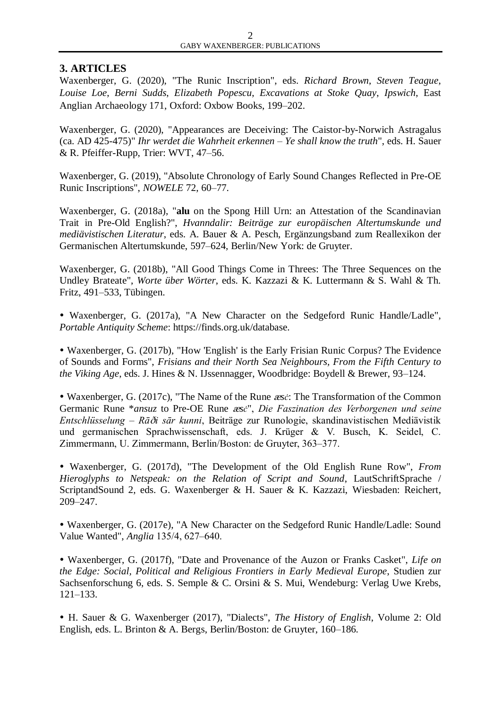## **3. ARTICLES**

Waxenberger, G. (2020), "The Runic Inscription", eds. *Richard Brown*, *Steven Teague*, *Louise Loe*, *Berni Sudds*, *Elizabeth Popescu*, *Excavations at Stoke Quay*, *Ipswich*, East Anglian Archaeology 171, Oxford: Oxbow Books, 199-202.

Waxenberger, G. (2020), "Appearances are Deceiving: The Caistor-by-Norwich Astragalus (ca. AD 425-475)" *Ihr werdet die Wahrheit erkennen* – *Ye shall know the truth*", eds. H. Sauer & R. Pfeiffer-Rupp, Trier: WVT, 47–56.

Waxenberger, G. (2019), "Absolute Chronology of Early Sound Changes Reflected in Pre-OE Runic Inscriptions", *NOWELE* 72, 60–77.

Waxenberger, G. (2018a), "**alu** on the Spong Hill Urn: an Attestation of the Scandinavian Trait in Pre-Old English?", *Hvanndalir: Beiträge zur europäischen Altertumskunde und mediävistischen Literatur*, eds. A. Bauer & A. Pesch, Ergänzungsband zum Reallexikon der Germanischen Altertumskunde, 597–624, Berlin/New York: de Gruyter.

Waxenberger, G. (2018b), "All Good Things Come in Threes: The Three Sequences on the Undley Brateate", *Worte über Wörter*, eds. K. Kazzazi & K. Luttermann & S. Wahl & Th. Fritz, 491–533, Tübingen.

 Waxenberger, G. (2017a), "A New Character on the Sedgeford Runic Handle/Ladle", *Portable Antiquity Scheme*: https://finds.org.uk/database.

 Waxenberger, G. (2017b), "How 'English' is the Early Frisian Runic Corpus? The Evidence of Sounds and Forms", *Frisians and their North Sea Neighbours, From the Fifth Century to the Viking Age*, eds. J. Hines & N. IJssennagger, Woodbridge: Boydell & Brewer, 93–124.

 Waxenberger, G. (2017c), "The Name of the Rune æ*sc*: The Transformation of the Common Germanic Rune \**ansuz* to Pre-OE Rune æ*sc*", *Die Faszination des Verborgenen und seine Entschlüsselung* – *Rā*D*i sār kunni*, Beiträge zur Runologie, skandinavistischen Mediävistik und germanischen Sprachwissenschaft, eds. J. Krüger & V. Busch, K. Seidel, C. Zimmermann, U. Zimmermann, Berlin/Boston: de Gruyter, 363–377.

 Waxenberger, G. (2017d), "The Development of the Old English Rune Row", *From Hieroglyphs to Netspeak: on the Relation of Script and Sound*, LautSchriftSprache / ScriptandSound 2, eds. G. Waxenberger & H. Sauer & K. Kazzazi, Wiesbaden: Reichert, 209–247.

 Waxenberger, G. (2017e), "A New Character on the Sedgeford Runic Handle/Ladle: Sound Value Wanted", *Anglia* 135/4, 627–640.

 Waxenberger, G. (2017f), "Date and Provenance of the Auzon or Franks Casket", *Life on the Edge: Social, Political and Religious Frontiers in Early Medieval Europe*, Studien zur Sachsenforschung 6, eds. S. Semple & C. Orsini & S. Mui, Wendeburg: Verlag Uwe Krebs, 121–133.

 H. Sauer & G. Waxenberger (2017), "Dialects", *The History of English*, Volume 2: Old English, eds. L. Brinton & A. Bergs, Berlin/Boston: de Gruyter, 160–186.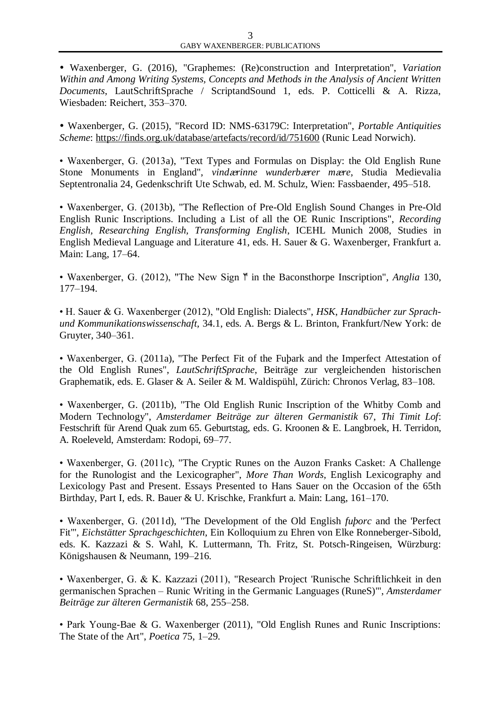Waxenberger, G. (2016), "Graphemes: (Re)construction and Interpretation", *Variation Within and Among Writing Systems, Concepts and Methods in the Analysis of Ancient Written Documents*, LautSchriftSprache / ScriptandSound 1, eds. P. Cotticelli & A. Rizza, Wiesbaden: Reichert, 353–370.

 Waxenberger, G. (2015), "Record ID: NMS-63179C: Interpretation", *Portable Antiquities Scheme*:<https://finds.org.uk/database/artefacts/record/id/751600> (Runic Lead Norwich).

• Waxenberger, G. (2013a), "Text Types and Formulas on Display: the Old English Rune Stone Monuments in England", *vind*æ*rinne wunderb*æ*rer m*æ*re*, Studia Medievalia Septentronalia 24, Gedenkschrift Ute Schwab, ed. M. Schulz, Wien: Fassbaender, 495–518.

• Waxenberger, G. (2013b), "The Reflection of Pre-Old English Sound Changes in Pre-Old English Runic Inscriptions. Including a List of all the OE Runic Inscriptions", *Recording English, Researching English, Transforming English*, ICEHL Munich 2008, Studies in English Medieval Language and Literature 41, eds. H. Sauer & G. Waxenberger, Frankfurt a. Main: Lang, 17–64.

• Waxenberger, G. (2012), "The New Sign  $\mathbb{M}$  in the Baconsthorpe Inscription", *Anglia* 130, 177–194.

• H. Sauer & G. Waxenberger (2012), "Old English: Dialects", *HSK*, *Handbücher zur Sprachund Kommunikationswissenschaft,* 34.1, eds. A. Bergs & L. Brinton, Frankfurt/New York: de Gruyter, 340–361.

• Waxenberger, G. (2011a), "The Perfect Fit of the Fuþark and the Imperfect Attestation of the Old English Runes", *LautSchriftSprache*, Beiträge zur vergleichenden historischen Graphematik, eds. E. Glaser & A. Seiler & M. Waldispühl, Zürich: Chronos Verlag, 83–108.

• Waxenberger, G. (2011b), "The Old English Runic Inscription of the Whitby Comb and Modern Technology", *Amsterdamer Beiträge zur älteren Germanistik* 67, *Thi Timit Lof*: Festschrift für Arend Quak zum 65. Geburtstag, eds. G. Kroonen & E. Langbroek, H. Terridon, A. Roeleveld, Amsterdam: Rodopi, 69–77.

• Waxenberger, G. (2011c), "The Cryptic Runes on the Auzon Franks Casket: A Challenge for the Runologist and the Lexicographer", *More Than Words*, English Lexicography and Lexicology Past and Present. Essays Presented to Hans Sauer on the Occasion of the 65th Birthday, Part I, eds. R. Bauer & U. Krischke, Frankfurt a. Main: Lang, 161–170.

• Waxenberger, G. (2011d), "The Development of the Old English *fuþorc* and the 'Perfect Fit'", *Eichstätter Sprachgeschichten*, Ein Kolloquium zu Ehren von Elke Ronneberger-Sibold, eds. K. Kazzazi & S. Wahl, K. Luttermann, Th. Fritz, St. Potsch-Ringeisen, Würzburg: Königshausen & Neumann, 199–216*.*

• Waxenberger, G. & K. Kazzazi (2011), "Research Project 'Runische Schriftlichkeit in den germanischen Sprachen – Runic Writing in the Germanic Languages (RuneS)'", *Amsterdamer Beiträge zur älteren Germanistik* 68, 255–258.

• Park Young-Bae & G. Waxenberger (2011), "Old English Runes and Runic Inscriptions: The State of the Art", *Poetica* 75, 1–29.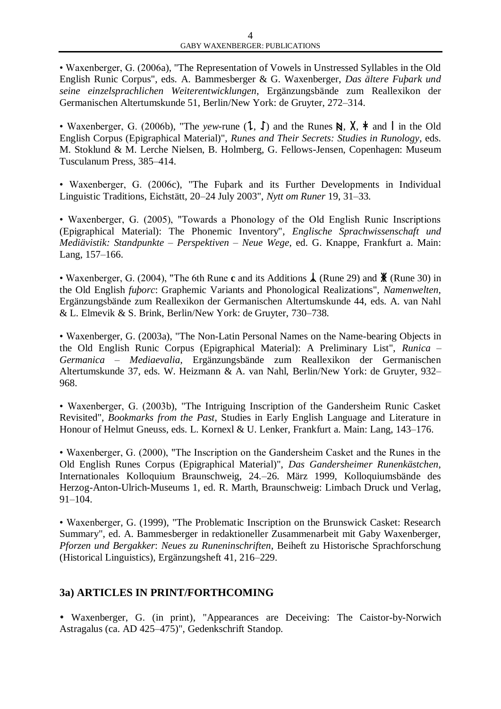• Waxenberger, G. (2006a), "The Representation of Vowels in Unstressed Syllables in the Old English Runic Corpus", eds. A. Bammesberger & G. Waxenberger, *Das ältere Fuþark und seine einzelsprachlichen Weiterentwicklungen*, Ergänzungsbände zum Reallexikon der Germanischen Altertumskunde 51, Berlin/New York: de Gruyter, 272–314.

• Waxenberger, G. (2006b), "The *yew*-rune  $(1, 1)$  and the Runes N, X,  $*$  and l in the Old English Corpus (Epigraphical Material)", *Runes and Their Secrets: Studies in Runology*, eds. M. Stoklund & M. Lerche Nielsen, B. Holmberg, G. Fellows-Jensen, Copenhagen: Museum Tusculanum Press, 385–414.

• Waxenberger, G. (2006c), "The Fuþark and its Further Developments in Individual Linguistic Traditions, Eichstätt, 20–24 July 2003", *Nytt om Runer* 19, 31–33.

• Waxenberger, G. (2005), "Towards a Phonology of the Old English Runic Inscriptions (Epigraphical Material): The Phonemic Inventory", *Englische Sprachwissenschaft und Mediävistik: Standpunkte – Perspektiven – Neue Wege*, ed. G. Knappe, Frankfurt a. Main: Lang, 157–166.

• Waxenberger, G. (2004), "The 6th Rune **c** and its Additions  $\lambda$  (Rune 29) and  $\chi$  (Rune 30) in the Old English *fuþorc*: Graphemic Variants and Phonological Realizations", *Namenwelten*, Ergänzungsbände zum Reallexikon der Germanischen Altertumskunde 44, eds. A. van Nahl & L. Elmevik & S. Brink, Berlin/New York: de Gruyter, 730–738.

• Waxenberger, G. (2003a), "The Non-Latin Personal Names on the Name-bearing Objects in the Old English Runic Corpus (Epigraphical Material): A Preliminary List", *Runica – Germanica – Mediaevalia*, Ergänzungsbände zum Reallexikon der Germanischen Altertumskunde 37, eds. W. Heizmann & A. van Nahl, Berlin/New York: de Gruyter, 932– 968.

• Waxenberger, G. (2003b), "The Intriguing Inscription of the Gandersheim Runic Casket Revisited", *Bookmarks from the Past*, Studies in Early English Language and Literature in Honour of Helmut Gneuss, eds. L. Kornexl & U. Lenker, Frankfurt a. Main: Lang, 143–176.

• Waxenberger, G. (2000), "The Inscription on the Gandersheim Casket and the Runes in the Old English Runes Corpus (Epigraphical Material)", *Das Gandersheimer Runenkästchen*, Internationales Kolloquium Braunschweig, 24.–26. März 1999, Kolloquiumsbände des Herzog-Anton-Ulrich-Museums 1, ed. R. Marth, Braunschweig: Limbach Druck und Verlag, 91–104.

• Waxenberger, G. (1999), "The Problematic Inscription on the Brunswick Casket: Research Summary", ed. A. Bammesberger in redaktioneller Zusammenarbeit mit Gaby Waxenberger, *Pforzen und Bergakker*: *Neues zu Runeninschriften*, Beiheft zu Historische Sprachforschung (Historical Linguistics), Ergänzungsheft 41, 216–229.

## **3a) ARTICLES IN PRINT/FORTHCOMING**

 Waxenberger, G. (in print), "Appearances are Deceiving: The Caistor-by-Norwich Astragalus (ca. AD 425–475)", Gedenkschrift Standop.